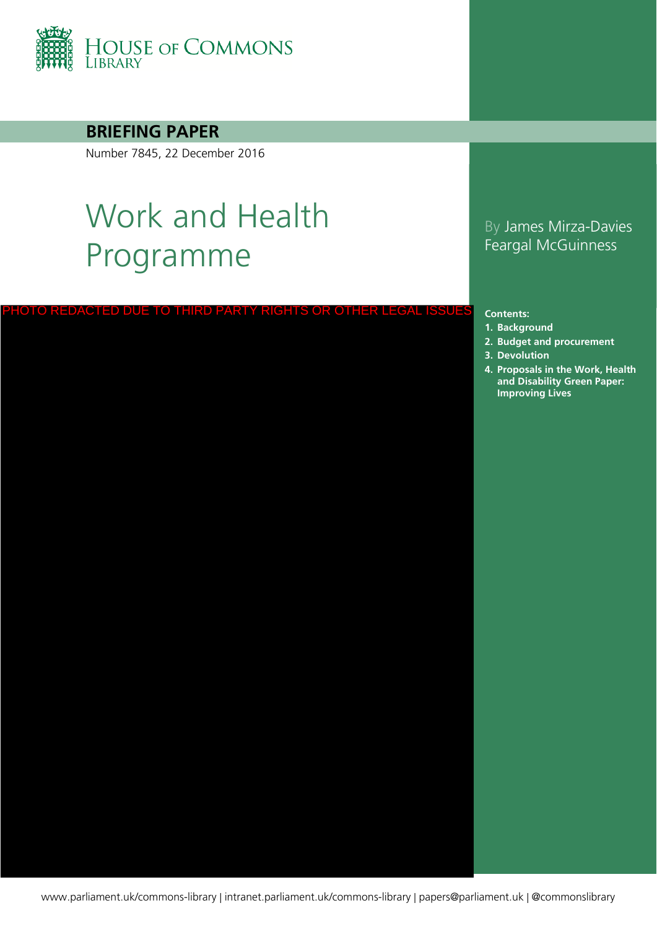

**BRIEFING PAPER**

Number 7845, 22 December 2016

# Work and Health Programme

#### PHOTO REDACTED DUE TO THIRD PARTY RIGHTS OR OTHER LEGAL ISSUES

#### By James Mirza-Davies Feargal McGuinness

#### **Contents:**

- **1. [Background](#page-3-0)**
- **2. [Budget and procurement](#page-4-0)**
- **3. [Devolution](#page-6-0)**
- **4. Proposals in the Work, Health and Disability Green Paper: Improving Lives**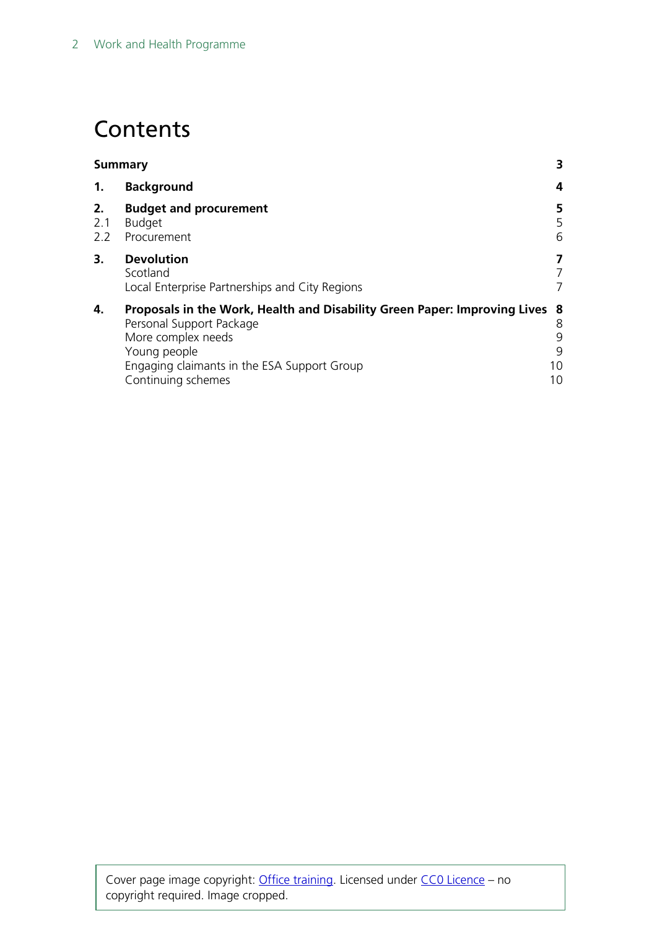## **Contents**

| <b>Summary</b>   |                                                                                                                                                                                                                    |                         |
|------------------|--------------------------------------------------------------------------------------------------------------------------------------------------------------------------------------------------------------------|-------------------------|
| 1.               | <b>Background</b>                                                                                                                                                                                                  | 4                       |
| 2.<br>2.1<br>2.2 | <b>Budget and procurement</b><br><b>Budget</b><br>Procurement                                                                                                                                                      | 5<br>5<br>6             |
| 3.               | <b>Devolution</b><br>Scotland<br>Local Enterprise Partnerships and City Regions                                                                                                                                    | 7<br>7<br>7             |
| 4.               | Proposals in the Work, Health and Disability Green Paper: Improving Lives 8<br>Personal Support Package<br>More complex needs<br>Young people<br>Engaging claimants in the ESA Support Group<br>Continuing schemes | 8<br>9<br>9<br>10<br>10 |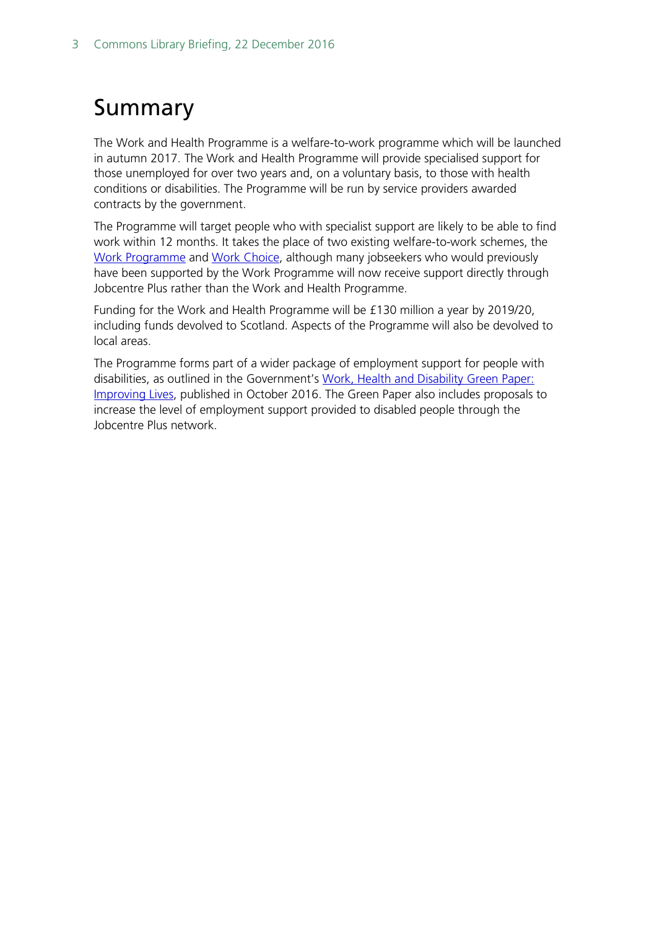# <span id="page-2-0"></span>Summary

The Work and Health Programme is a welfare-to-work programme which will be launched in autumn 2017. The Work and Health Programme will provide specialised support for those unemployed for over two years and, on a voluntary basis, to those with health conditions or disabilities. The Programme will be run by service providers awarded contracts by the government.

The Programme will target people who with specialist support are likely to be able to find work within 12 months. It takes the place of two existing welfare-to-work schemes, the [Work Programme](http://researchbriefings.parliament.uk/ResearchBriefing/Summary/SN06340) and [Work Choice,](https://www.gov.uk/work-choice/overview) although many jobseekers who would previously have been supported by the Work Programme will now receive support directly through Jobcentre Plus rather than the Work and Health Programme.

Funding for the Work and Health Programme will be £130 million a year by 2019/20, including funds devolved to Scotland. Aspects of the Programme will also be devolved to local areas.

The Programme forms part of a wider package of employment support for people with disabilities, as outlined in the Government's Work, Health and Disability Green Paper: [Improving Lives,](https://www.gov.uk/government/consultations/work-health-and-disability-improving-lives) published in October 2016. The Green Paper also includes proposals to increase the level of employment support provided to disabled people through the Jobcentre Plus network.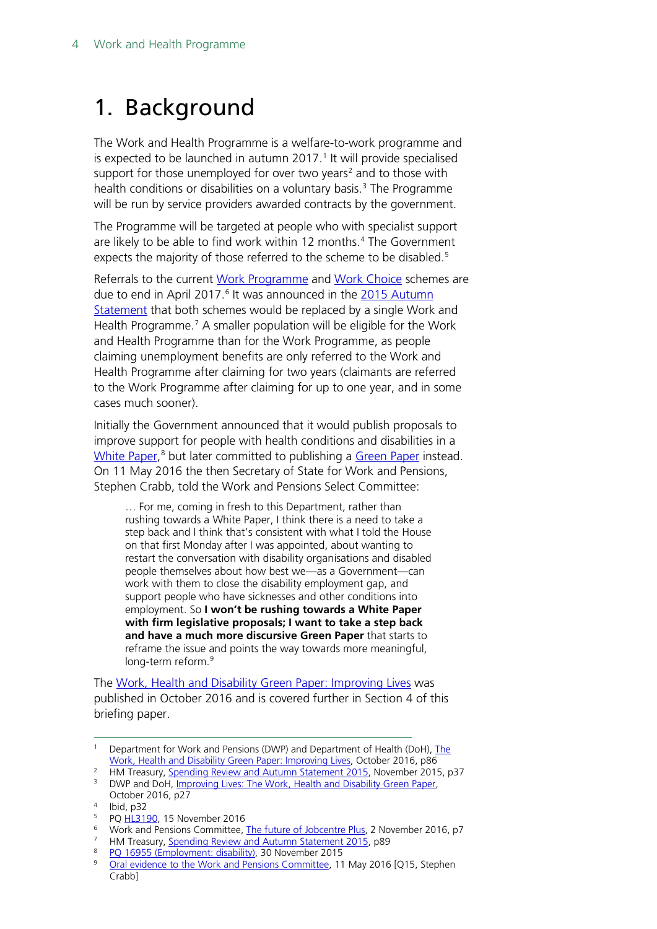# <span id="page-3-0"></span>1. Background

The Work and Health Programme is a welfare-to-work programme and is expected to be launched in autumn 20[1](#page-3-1)7.<sup>1</sup> It will provide specialised support for those unemployed for over two years<sup>[2](#page-3-2)</sup> and to those with health conditions or disabilities on a voluntary basis.<sup>[3](#page-3-3)</sup> The Programme will be run by service providers awarded contracts by the government.

The Programme will be targeted at people who with specialist support are likely to be able to find work within 12 months.<sup>[4](#page-3-4)</sup> The Government expects the majority of those referred to the scheme to be disabled.<sup>[5](#page-3-5)</sup>

Referrals to the current [Work Programme](http://researchbriefings.parliament.uk/ResearchBriefing/Summary/SN06340) and [Work Choice](https://www.gov.uk/work-choice/overview) schemes are due to end in April 2017.<sup>[6](#page-3-6)</sup> It was announced in the 2015 Autumn [Statement](https://www.gov.uk/government/topical-events/autumn-statement-and-spending-review-2015) that both schemes would be replaced by a single Work and Health Programme. [7](#page-3-7) A smaller population will be eligible for the Work and Health Programme than for the Work Programme, as people claiming unemployment benefits are only referred to the Work and Health Programme after claiming for two years (claimants are referred to the Work Programme after claiming for up to one year, and in some cases much sooner).

Initially the Government announced that it would publish proposals to improve support for people with health conditions and disabilities in a [White Paper,](http://www.parliament.uk/site-information/glossary/white-paper/) [8](#page-3-8) but later committed to publishing a [Green Paper](http://www.parliament.uk/site-information/glossary/green-papers/) instead. On 11 May 2016 the then Secretary of State for Work and Pensions, Stephen Crabb, told the Work and Pensions Select Committee:

… For me, coming in fresh to this Department, rather than rushing towards a White Paper, I think there is a need to take a step back and I think that's consistent with what I told the House on that first Monday after I was appointed, about wanting to restart the conversation with disability organisations and disabled people themselves about how best we—as a Government—can work with them to close the disability employment gap, and support people who have sicknesses and other conditions into employment. So **I won't be rushing towards a White Paper with firm legislative proposals; I want to take a step back and have a much more discursive Green Paper** that starts to reframe the issue and points the way towards more meaningful, long-term reform.<sup>[9](#page-3-9)</sup>

The [Work, Health and Disability Green Paper: Improving Lives](https://www.gov.uk/government/consultations/work-health-and-disability-improving-lives) was published in October 2016 and is covered further in Section 4 of this briefing paper.

<span id="page-3-7"></span><sup>7</sup> HM Treasury, [Spending Review and Autumn Statement 2015,](https://www.gov.uk/government/uploads/system/uploads/attachment_data/file/479749/52229_Blue_Book_PU1865_Web_Accessible.pdf) p89

<span id="page-3-1"></span><sup>&</sup>lt;sup>1</sup> Department for Work and Pensions (DWP) and Department of Health (DoH), The [Work, Health and Disability](https://www.gov.uk/government/uploads/system/uploads/attachment_data/file/564038/work-and-health-green-paper-improving-lives.pdf) Green Paper: Improving Lives, October 2016, p86

<sup>&</sup>lt;sup>2</sup> HM Treasury, [Spending Review and Autumn Statement 2015,](https://www.gov.uk/government/uploads/system/uploads/attachment_data/file/479749/52229_Blue_Book_PU1865_Web_Accessible.pdf) November 2015, p37

<span id="page-3-3"></span><span id="page-3-2"></span><sup>&</sup>lt;sup>3</sup> DWP and DoH, [Improving Lives: The Work, Health and Disability Green Paper,](https://www.gov.uk/government/uploads/system/uploads/attachment_data/file/564038/work-and-health-green-paper-improving-lives.pdf)

<span id="page-3-4"></span>October 2016, p27 <sup>4</sup> Ibid, p32

P[Q HL3190,](http://www.parliament.uk/written-questions-answers-statements/written-question/lords/2016-11-15/HL3190) 15 November 2016

<span id="page-3-6"></span><span id="page-3-5"></span><sup>&</sup>lt;sup>6</sup> Work and Pensions Committee, [The future of Jobcentre Plus,](http://www.publications.parliament.uk/pa/cm201617/cmselect/cmworpen/57/57.pdf#page=9) 2 November 2016, p7

<span id="page-3-9"></span><span id="page-3-8"></span><sup>&</sup>lt;sup>8</sup> PO 16955 (Employment: disability), 30 November 2015<br><sup>9</sup> Oral ovidence to the Work and Pensions Committee, 11

[Oral evidence to the Work and Pensions Committee,](http://www.parliament.uk/documents/commons-committees/work-and-pensions/160511%20DWP.pdf) 11 May 2016 [Q15, Stephen Crabb]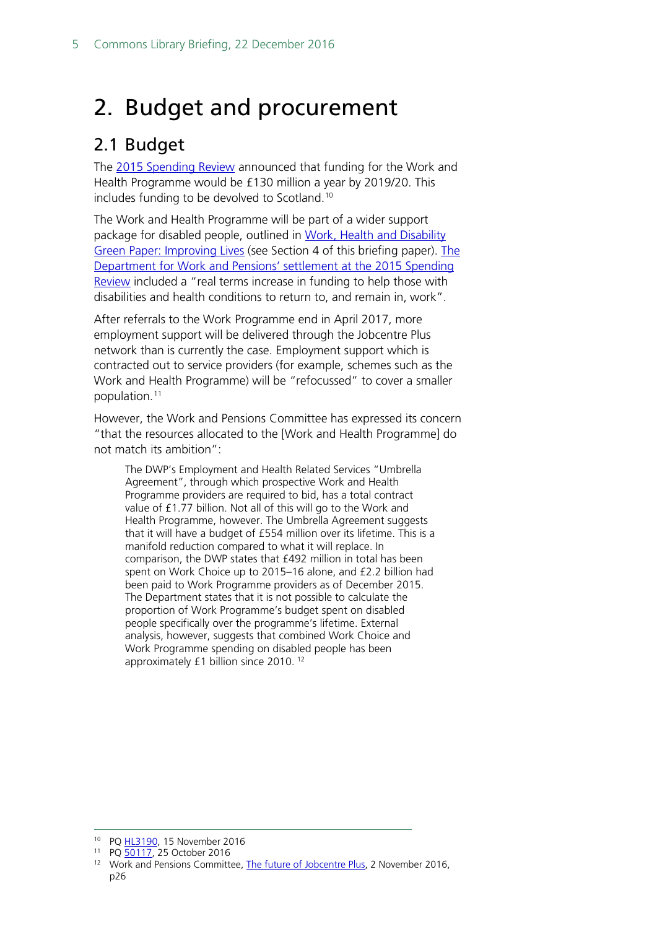# <span id="page-4-0"></span>2. Budget and procurement

### <span id="page-4-1"></span>2.1 Budget

The [2015 Spending Review](https://www.gov.uk/government/uploads/system/uploads/attachment_data/file/479749/52229_Blue_Book_PU1865_Web_Accessible.pdf) announced that funding for the Work and Health Programme would be £130 million a year by 2019/20. This includes funding to be devolved to Scotland.[10](#page-4-2)

The Work and Health Programme will be part of a wider support package for disabled people, outlined in Work, Health and Disability [Green Paper: Improving Lives](https://www.gov.uk/government/consultations/work-health-and-disability-improving-lives) (see Section 4 of this briefing paper). [The](https://www.gov.uk/government/news/department-for-work-and-pensions-settlement-at-the-spending-review)  [Department for Work and Pensions' settlement at the 2015 Spending](https://www.gov.uk/government/news/department-for-work-and-pensions-settlement-at-the-spending-review)  [Review](https://www.gov.uk/government/news/department-for-work-and-pensions-settlement-at-the-spending-review) included a "real terms increase in funding to help those with disabilities and health conditions to return to, and remain in, work".

After referrals to the Work Programme end in April 2017, more employment support will be delivered through the Jobcentre Plus network than is currently the case. Employment support which is contracted out to service providers (for example, schemes such as the Work and Health Programme) will be "refocussed" to cover a smaller population.<sup>[11](#page-4-3)</sup>

However, the Work and Pensions Committee has expressed its concern "that the resources allocated to the [Work and Health Programme] do not match its ambition":

The DWP's Employment and Health Related Services "Umbrella Agreement", through which prospective Work and Health Programme providers are required to bid, has a total contract value of £1.77 billion. Not all of this will go to the Work and Health Programme, however. The Umbrella Agreement suggests that it will have a budget of £554 million over its lifetime. This is a manifold reduction compared to what it will replace. In comparison, the DWP states that £492 million in total has been spent on Work Choice up to 2015–16 alone, and £2.2 billion had been paid to Work Programme providers as of December 2015. The Department states that it is not possible to calculate the proportion of Work Programme's budget spent on disabled people specifically over the programme's lifetime. External analysis, however, suggests that combined Work Choice and Work Programme spending on disabled people has been approximately £1 billion since 2010. [12](#page-4-4)

<span id="page-4-2"></span><sup>&</sup>lt;sup>10</sup> P[Q HL3190,](http://www.parliament.uk/written-questions-answers-statements/written-question/lords/2016-11-15/HL3190) 15 November 2016

<span id="page-4-3"></span><sup>11</sup> P[Q 50117,](http://www.parliament.uk/written-questions-answers-statements/written-question/commons/2016-10-25/50117) 25 October 2016

<span id="page-4-4"></span><sup>&</sup>lt;sup>12</sup> Work and Pensions Committee, [The future of Jobcentre Plus,](http://www.publications.parliament.uk/pa/cm201617/cmselect/cmworpen/57/57.pdf#page=28) 2 November 2016, p26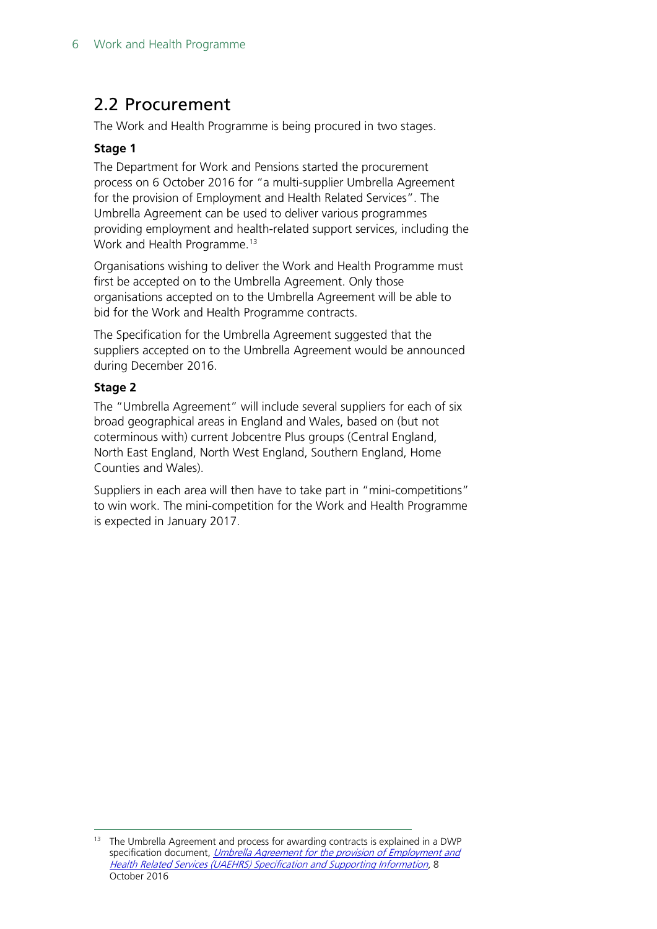### <span id="page-5-0"></span>2.2 Procurement

The Work and Health Programme is being procured in two stages.

#### **Stage 1**

The Department for Work and Pensions started the procurement process on 6 October 2016 for "a multi-supplier Umbrella Agreement for the provision of Employment and Health Related Services". The Umbrella Agreement can be used to deliver various programmes providing employment and health-related support services, including the Work and Health Programme.<sup>[13](#page-5-1)</sup>

Organisations wishing to deliver the Work and Health Programme must first be accepted on to the Umbrella Agreement. Only those organisations accepted on to the Umbrella Agreement will be able to bid for the Work and Health Programme contracts.

The Specification for the Umbrella Agreement suggested that the suppliers accepted on to the Umbrella Agreement would be announced during December 2016.

#### **Stage 2**

The "Umbrella Agreement" will include several suppliers for each of six broad geographical areas in England and Wales, based on (but not coterminous with) current Jobcentre Plus groups (Central England, North East England, North West England, Southern England, Home Counties and Wales).

Suppliers in each area will then have to take part in "mini-competitions" to win work. The mini-competition for the Work and Health Programme is expected in January 2017.

<span id="page-5-1"></span> $13$  The Umbrella Agreement and process for awarding contracts is explained in a DWP specification document, Umbrella Agreement for the provision of Employment and [Health Related Services \(UAEHRS\) Specification and Supporting Information](https://www.contractsfinder.service.gov.uk/Notice/Attachment/C1955417-EF6E-4E6A-B6F6-E162FA6A36B6), 8 October 2016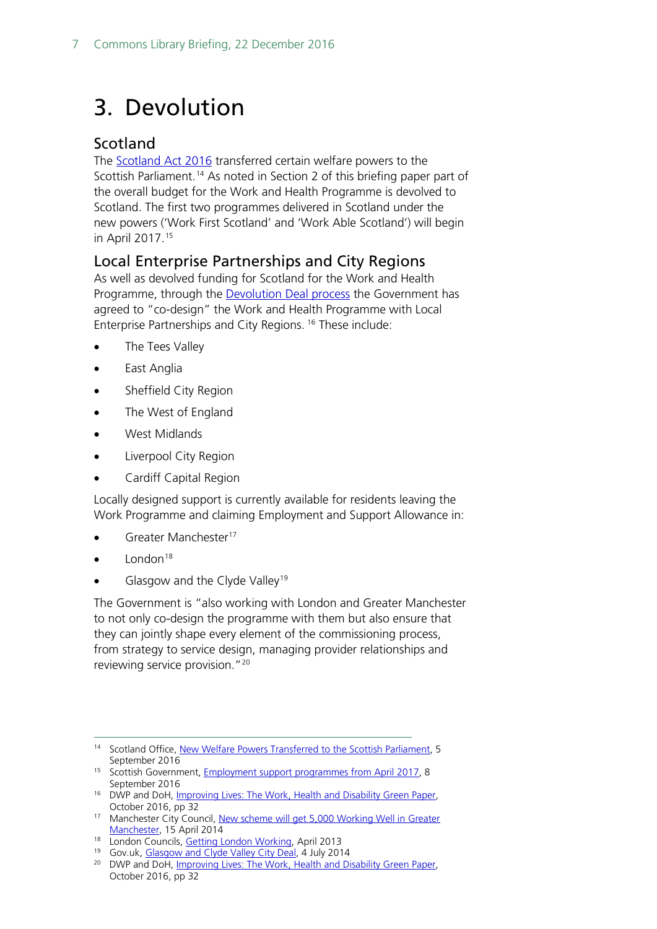# <span id="page-6-0"></span>3. Devolution

### <span id="page-6-1"></span>Scotland

The [Scotland Act 2016](http://services.parliament.uk/bills/2015-16/scotland.html) transferred certain welfare powers to the Scottish Parliament.<sup>[14](#page-6-3)</sup> As noted in Section 2 of this briefing paper part of the overall budget for the Work and Health Programme is devolved to Scotland. The first two programmes delivered in Scotland under the new powers ('Work First Scotland' and 'Work Able Scotland') will begin in April 2017.[15](#page-6-4)

#### <span id="page-6-2"></span>Local Enterprise Partnerships and City Regions

As well as devolved funding for Scotland for the Work and Health Programme, through the **Devolution Deal process** the Government has agreed to "co-design" the Work and Health Programme with Local Enterprise Partnerships and City Regions. [16](#page-6-5) These include:

- The Tees Valley
- East Anglia
- Sheffield City Region
- The West of England
- West Midlands
- Liverpool City Region
- Cardiff Capital Region

Locally designed support is currently available for residents leaving the Work Programme and claiming Employment and Support Allowance in:

- Greater Manchester<sup>17</sup>
- London $18$
- Glasgow and the Clyde Valley<sup>[19](#page-6-8)</sup>

The Government is "also working with London and Greater Manchester to not only co-design the programme with them but also ensure that they can jointly shape every element of the commissioning process, from strategy to service design, managing provider relationships and reviewing service provision.["20](#page-6-9)

<span id="page-6-7"></span>18 London Councils, [Getting London Working,](https://www.londoncouncils.gov.uk/download/file/fid/4153) April 2013

<span id="page-6-3"></span><sup>&</sup>lt;sup>14</sup> Scotland Office[, New Welfare Powers Transferred to the Scottish Parliament,](https://www.gov.uk/government/news/new-welfare-powers-transferred-to-the-scottish-parliament) 5 September 2016

<span id="page-6-4"></span><sup>&</sup>lt;sup>15</sup> Scottish Government, **Employment support programmes from April 2017**, 8 September 2016

<span id="page-6-5"></span><sup>&</sup>lt;sup>16</sup> DWP and DoH, *Improving Lives: The Work, Health and Disability Green Paper,* October 2016, pp 32

<span id="page-6-6"></span><sup>&</sup>lt;sup>17</sup> Manchester City Council, New scheme will get 5,000 Working Well in Greater [Manchester,](http://www.manchester.gov.uk/news/article/6854/new_scheme_will_get_5000_working_well_in_greater_manchester) 15 April 2014

<sup>&</sup>lt;sup>19</sup> Gov.uk, [Glasgow and Clyde Valley City Deal,](https://www.gov.uk/government/uploads/system/uploads/attachment_data/file/346278/Glasgow_Clyde_Valley_City_Deal.pdf) 4 July 2014

<span id="page-6-9"></span><span id="page-6-8"></span><sup>&</sup>lt;sup>20</sup> DWP and DoH, *Improving Lives: The Work, Health and Disability Green Paper,* October 2016, pp 32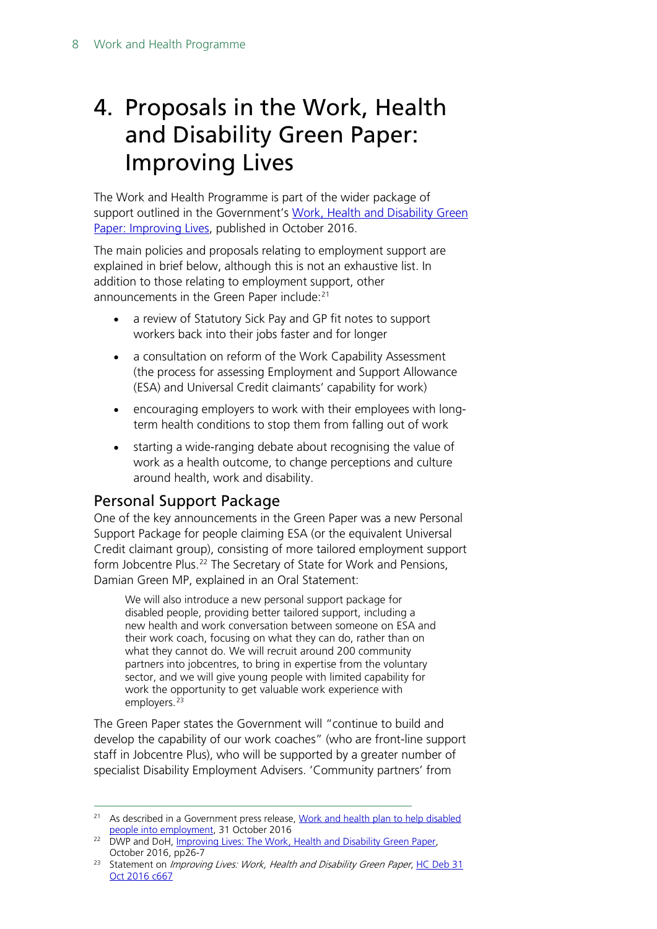### <span id="page-7-0"></span>4. Proposals in the Work, Health and Disability Green Paper: Improving Lives

The Work and Health Programme is part of the wider package of support outlined in the Government's Work, Health [and Disability Green](https://www.gov.uk/government/uploads/system/uploads/attachment_data/file/564038/work-and-health-green-paper-improving-lives.pdf)  [Paper: Improving Lives,](https://www.gov.uk/government/uploads/system/uploads/attachment_data/file/564038/work-and-health-green-paper-improving-lives.pdf) published in October 2016.

The main policies and proposals relating to employment support are explained in brief below, although this is not an exhaustive list. In addition to those relating to employment support, other announcements in the Green Paper include:<sup>[21](#page-7-2)</sup>

- a review of Statutory Sick Pay and GP fit notes to support workers back into their jobs faster and for longer
- a consultation on reform of the Work Capability Assessment (the process for assessing Employment and Support Allowance (ESA) and Universal Credit claimants' capability for work)
- encouraging employers to work with their employees with longterm health conditions to stop them from falling out of work
- starting a wide-ranging debate about recognising the value of work as a health outcome, to change perceptions and culture around health, work and disability.

### <span id="page-7-1"></span>Personal Support Package

One of the key announcements in the Green Paper was a new Personal Support Package for people claiming ESA (or the equivalent Universal Credit claimant group), consisting of more tailored employment support form Jobcentre Plus.<sup>[22](#page-7-3)</sup> The Secretary of State for Work and Pensions, Damian Green MP, explained in an Oral Statement:

We will also introduce a new personal support package for disabled people, providing better tailored support, including a new health and work conversation between someone on ESA and their work coach, focusing on what they can do, rather than on what they cannot do. We will recruit around 200 community partners into jobcentres, to bring in expertise from the voluntary sector, and we will give young people with limited capability for work the opportunity to get valuable work experience with employers.<sup>[23](#page-7-4)</sup>

The Green Paper states the Government will "continue to build and develop the capability of our work coaches" (who are front-line support staff in Jobcentre Plus), who will be supported by a greater number of specialist Disability Employment Advisers. 'Community partners' from

<span id="page-7-2"></span><sup>&</sup>lt;sup>21</sup> As described in a Government press release, Work and health plan to help disabled [people into employment,](https://www.gov.uk/government/news/work-and-health-plan-to-help-disabled-people-into-employment) 31 October 2016

<span id="page-7-3"></span><sup>&</sup>lt;sup>22</sup> DWP and DoH, [Improving Lives: The Work, Health and Disability Green Paper,](https://www.gov.uk/government/uploads/system/uploads/attachment_data/file/564038/work-and-health-green-paper-improving-lives.pdf) October 2016, pp26-7

<span id="page-7-4"></span><sup>&</sup>lt;sup>23</sup> Statement on *Improving Lives: Work, Health and Disability Green Paper*, HC Deb 31 [Oct 2016 c667](https://hansard.parliament.uk/commons/2016-10-31/debates/4450368C-0091-47F2-A2D9-D12BC86192CC/ImprovingLivesWorkHealthAndDisabilityGreenPaper)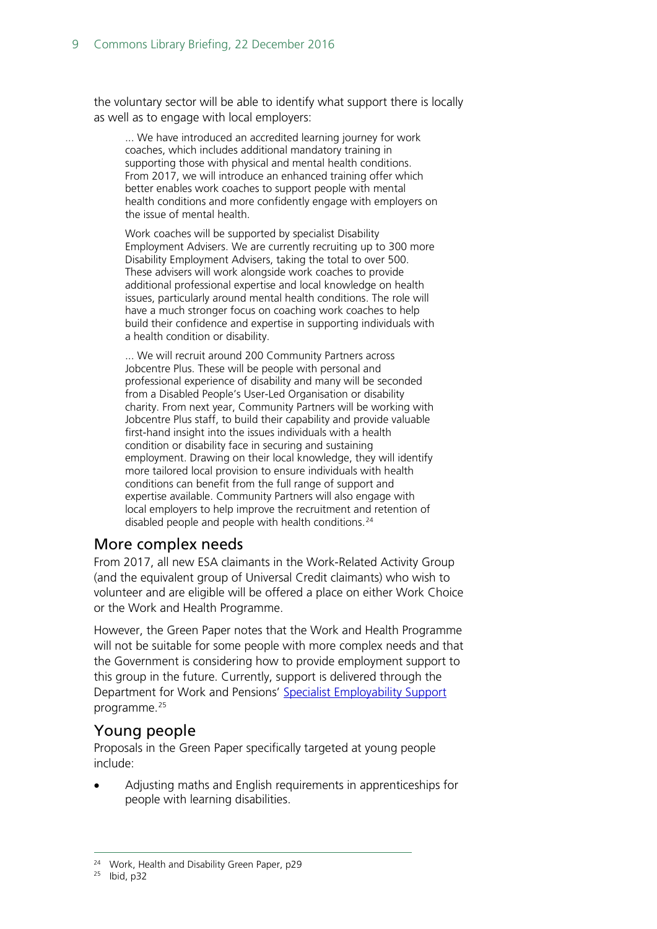the voluntary sector will be able to identify what support there is locally as well as to engage with local employers:

... We have introduced an accredited learning journey for work coaches, which includes additional mandatory training in supporting those with physical and mental health conditions. From 2017, we will introduce an enhanced training offer which better enables work coaches to support people with mental health conditions and more confidently engage with employers on the issue of mental health.

Work coaches will be supported by specialist Disability Employment Advisers. We are currently recruiting up to 300 more Disability Employment Advisers, taking the total to over 500. These advisers will work alongside work coaches to provide additional professional expertise and local knowledge on health issues, particularly around mental health conditions. The role will have a much stronger focus on coaching work coaches to help build their confidence and expertise in supporting individuals with a health condition or disability.

... We will recruit around 200 Community Partners across Jobcentre Plus. These will be people with personal and professional experience of disability and many will be seconded from a Disabled People's User-Led Organisation or disability charity. From next year, Community Partners will be working with Jobcentre Plus staff, to build their capability and provide valuable first-hand insight into the issues individuals with a health condition or disability face in securing and sustaining employment. Drawing on their local knowledge, they will identify more tailored local provision to ensure individuals with health conditions can benefit from the full range of support and expertise available. Community Partners will also engage with local employers to help improve the recruitment and retention of disabled people and people with health conditions.<sup>[24](#page-8-2)</sup>

#### <span id="page-8-0"></span>More complex needs

From 2017, all new ESA claimants in the Work-Related Activity Group (and the equivalent group of Universal Credit claimants) who wish to volunteer and are eligible will be offered a place on either Work Choice or the Work and Health Programme.

However, the Green Paper notes that the Work and Health Programme will not be suitable for some people with more complex needs and that the Government is considering how to provide employment support to this group in the future. Currently, support is delivered through the Department for Work and Pensions' [Specialist Employability Support](https://www.gov.uk/specialist-employability-support/overview) programme.<sup>[25](#page-8-3)</sup>

### <span id="page-8-1"></span>Young people

Proposals in the Green Paper specifically targeted at young people include:

• Adjusting maths and English requirements in apprenticeships for people with learning disabilities.

<span id="page-8-3"></span><span id="page-8-2"></span><sup>25</sup> Ibid, p32

<sup>&</sup>lt;sup>24</sup> Work, Health and Disability Green Paper, p29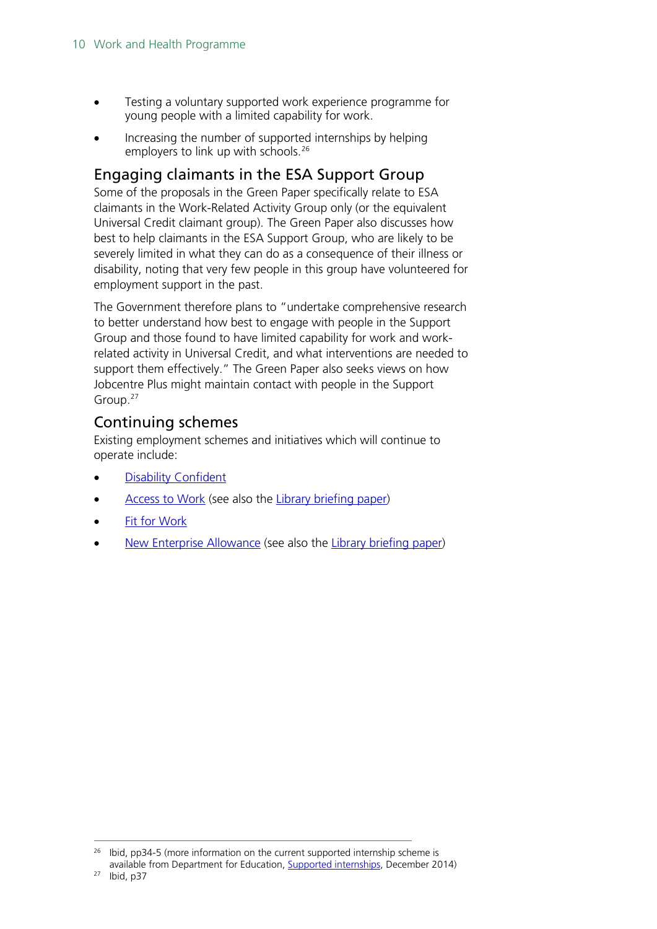- Testing a voluntary supported work experience programme for young people with a limited capability for work.
- Increasing the number of supported internships by helping employers to link up with schools.<sup>26</sup>

#### <span id="page-9-0"></span>Engaging claimants in the ESA Support Group

Some of the proposals in the Green Paper specifically relate to ESA claimants in the Work-Related Activity Group only (or the equivalent Universal Credit claimant group). The Green Paper also discusses how best to help claimants in the ESA Support Group, who are likely to be severely limited in what they can do as a consequence of their illness or disability, noting that very few people in this group have volunteered for employment support in the past.

The Government therefore plans to "undertake comprehensive research to better understand how best to engage with people in the Support Group and those found to have limited capability for work and workrelated activity in Universal Credit, and what interventions are needed to support them effectively." The Green Paper also seeks views on how Jobcentre Plus might maintain contact with people in the Support Group.[27](#page-9-3)

### <span id="page-9-1"></span>Continuing schemes

Existing employment schemes and initiatives which will continue to operate include:

- [Disability Confident](https://www.gov.uk/government/collections/disability-confident-campaign)
- [Access to Work](https://www.gov.uk/access-to-work/overview) (see also the [Library briefing paper\)](http://researchbriefings.parliament.uk/ResearchBriefing/Summary/SN06666)
- **[Fit for Work](https://www.gov.uk/government/collections/fit-for-work-guidance)**
- [New Enterprise Allowance](https://www.gov.uk/new-enterprise-allowance) (see also the [Library briefing paper\)](http://researchbriefings.parliament.uk/ResearchBriefing/Summary/SN05878)

<span id="page-9-3"></span><span id="page-9-2"></span> $26$  Ibid, pp34-5 (more information on the current supported internship scheme is available from Department for Education, [Supported internships,](https://www.gov.uk/government/uploads/system/uploads/attachment_data/file/389411/Supported_Internship_Guidance_Dec_14.pdf) December 2014)